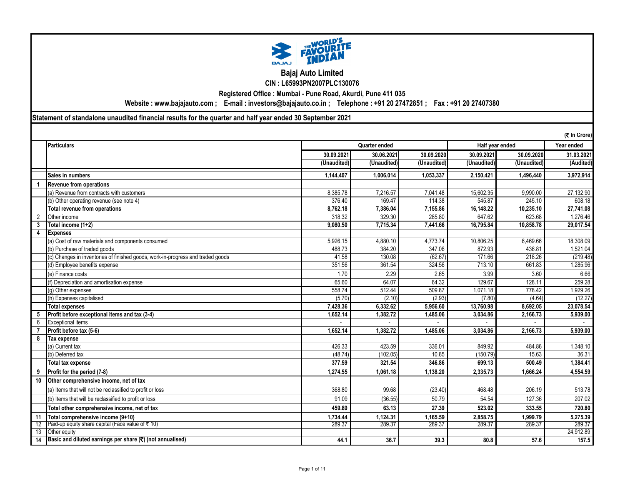

# **Bajaj Auto Limited CIN : L65993PN2007PLC130076**

**Registered Office : Mumbai - Pune Road, Akurdi, Pune 411 035**

**Website : www.bajajauto.com ; E-mail : investors@bajajauto.co.in ; Telephone : +91 20 27472851 ; Fax : +91 20 27407380**

**Statement of standalone unaudited financial results for the quarter and half year ended 30 September 2021**

|                |                                                                                 |             |               |             |                 |             | (र In Crore) |
|----------------|---------------------------------------------------------------------------------|-------------|---------------|-------------|-----------------|-------------|--------------|
|                | <b>Particulars</b>                                                              |             | Quarter ended |             | Half year ended |             | Year ended   |
|                |                                                                                 | 30.09.2021  | 30.06.2021    | 30.09.2020  | 30.09.2021      | 30.09.2020  | 31.03.2021   |
|                |                                                                                 | (Unaudited) | (Unaudited)   | (Unaudited) | (Unaudited)     | (Unaudited) | (Audited)    |
|                | <b>Sales in numbers</b>                                                         | 1,144,407   | 1,006,014     | 1,053,337   | 2.150.421       | 1.496.440   | 3,972,914    |
|                | <b>Revenue from operations</b>                                                  |             |               |             |                 |             |              |
|                | (a) Revenue from contracts with customers                                       | 8,385.78    | 7,216.57      | 7,041.48    | 15,602.35       | 9,990.00    | 27,132.90    |
|                | (b) Other operating revenue (see note 4)                                        | 376.40      | 169.47        | 114.38      | 545.87          | 245.10      | 608.18       |
|                | Total revenue from operations                                                   | 8.762.18    | 7.386.04      | 7.155.86    | 16.148.22       | 10.235.10   | 27,741.08    |
| $\overline{2}$ | Other income                                                                    | 318.32      | 329.30        | 285.80      | 647.62          | 623.68      | 1,276.46     |
| 3              | Total income (1+2)                                                              | 9,080.50    | 7,715.34      | 7,441.66    | 16,795.84       | 10,858.78   | 29,017.54    |
| 4              | <b>Expenses</b>                                                                 |             |               |             |                 |             |              |
|                | (a) Cost of raw materials and components consumed                               | 5,926.15    | 4,880.10      | 4,773.74    | 10,806.25       | 6,469.66    | 18,308.09    |
|                | (b) Purchase of traded goods                                                    | 488.73      | 384.20        | 347.06      | 872.93          | 436.81      | 1,521.04     |
|                | (c) Changes in inventories of finished goods, work-in-progress and traded goods | 41.58       | 130.08        | (62.67)     | 171.66          | 218.26      | (219.48)     |
|                | (d) Employee benefits expense                                                   | 351.56      | 361.54        | 324.56      | 713.10          | 661.83      | 1,285.96     |
|                | (e) Finance costs                                                               | 1.70        | 2.29          | 2.65        | 3.99            | 3.60        | 6.66         |
|                | (f) Depreciation and amortisation expense                                       | 65.60       | 64.07         | 64.32       | 129.67          | 128.11      | 259.28       |
|                | (g) Other expenses                                                              | 558.74      | 512.44        | 509.87      | 1,071.18        | 778.42      | 1,929.26     |
|                | (h) Expenses capitalised                                                        | (5.70)      | (2.10)        | (2.93)      | (7.80)          | (4.64)      | (12.27)      |
|                | <b>Total expenses</b>                                                           | 7.428.36    | 6,332.62      | 5,956.60    | 13,760.98       | 8.692.05    | 23,078.54    |
| 5              | Profit before exceptional items and tax (3-4)                                   | 1,652.14    | 1,382.72      | 1,485.06    | 3,034.86        | 2,166.73    | 5,939.00     |
| 6              | <b>Exceptional items</b>                                                        |             |               |             |                 |             |              |
|                | Profit before tax (5-6)                                                         | 1.652.14    | 1.382.72      | 1.485.06    | 3.034.86        | 2,166.73    | 5,939.00     |
| 8              | Tax expense                                                                     |             |               |             |                 |             |              |
|                | (a) Current tax                                                                 | 426.33      | 423.59        | 336.01      | 849.92          | 484.86      | 1,348.10     |
|                | (b) Deferred tax                                                                | (48.74)     | (102.05)      | 10.85       | (150.79)        | 15.63       | 36.31        |
|                | Total tax expense                                                               | 377.59      | 321.54        | 346.86      | 699.13          | 500.49      | 1,384.41     |
| 9              | Profit for the period (7-8)                                                     | 1,274.55    | 1,061.18      | 1,138.20    | 2,335.73        | 1,666.24    | 4,554.59     |
| 10             | Other comprehensive income, net of tax                                          |             |               |             |                 |             |              |
|                | (a) Items that will not be reclassified to profit or loss                       | 368.80      | 99.68         | (23.40)     | 468.48          | 206.19      | 513.78       |
|                | (b) Items that will be reclassified to profit or loss                           | 91.09       | (36.55)       | 50.79       | 54.54           | 127.36      | 207.02       |
|                | Total other comprehensive income, net of tax                                    | 459.89      | 63.13         | 27.39       | 523.02          | 333.55      | 720.80       |
| 11             | Total comprehensive income (9+10)                                               | 1,734.44    | 1,124.31      | 1,165.59    | 2,858.75        | 1,999.79    | 5,275.39     |
| 12             | Paid-up equity share capital (Face value of ₹ 10)                               | 289.37      | 289.37        | 289.37      | 289.37          | 289.37      | 289.37       |
| 13             | Other equity                                                                    |             |               |             |                 |             | 24,912.89    |
| 14             | Basic and diluted earnings per share (₹) (not annualised)                       | 44.1        | 36.7          | 39.3        | 80.8            | 57.6        | 157.5        |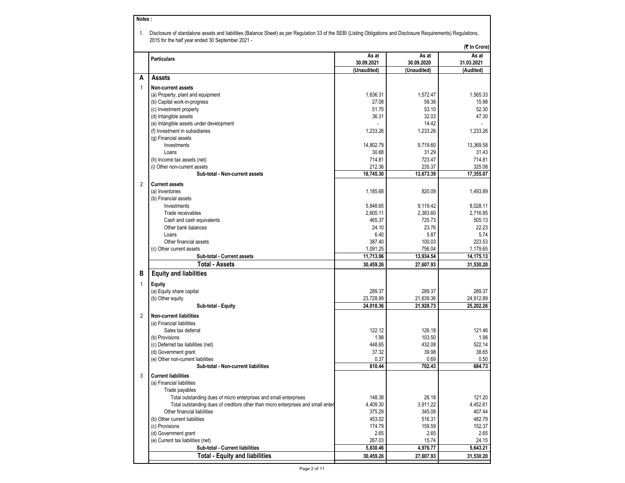| 1.             | Disclosure of standalone assets and liabilities (Balance Sheet) as per Regulation 33 of the SEBI (Listing Obligations and Disclosure Requirements) Regulations, |                        |                        |                        |
|----------------|-----------------------------------------------------------------------------------------------------------------------------------------------------------------|------------------------|------------------------|------------------------|
|                | 2015 for the half year ended 30 September 2021 -                                                                                                                |                        |                        | (₹ In Crore)           |
|                |                                                                                                                                                                 | As at                  | As at                  | As at                  |
|                | <b>Particulars</b>                                                                                                                                              | 30.09.2021             | 30.09.2020             | 31.03.2021             |
|                |                                                                                                                                                                 | (Unaudited)            | (Unaudited)            | (Audited)              |
| Α              | <b>Assets</b>                                                                                                                                                   |                        |                        |                        |
| $\mathbf{1}$   | <b>Non-current assets</b>                                                                                                                                       |                        |                        |                        |
|                | (a) Property, plant and equipment                                                                                                                               | 1,636.31               | 1,572.47               | 1,565.33               |
|                | (b) Capital work-in-progress                                                                                                                                    | 27.08                  | 58.38                  | 15.98                  |
|                | (c) Investment property                                                                                                                                         | 51.70                  | 53.10                  | 52.30                  |
|                | (d) Intangible assets                                                                                                                                           | 36.31                  | 32.03                  | 47.30                  |
|                | (e) Intangible assets under development                                                                                                                         |                        | 14.42                  |                        |
|                | (f) Investment in subsidiaries<br>(g) Financial assets                                                                                                          | 1,233.26               | 1.233.26               | 1,233.26               |
|                | Investments                                                                                                                                                     | 14,802.79              | 9,719.60               | 13,369.58              |
|                | Loans                                                                                                                                                           | 30.68                  | 31.29                  | 31.43                  |
|                | (h) Income tax assets (net)                                                                                                                                     | 714.81                 | 723.47                 | 714.81                 |
|                | (i) Other non-current assets                                                                                                                                    | 212.36                 | 235.37                 | 325.08                 |
|                | Sub-total - Non-current assets                                                                                                                                  | 18,745.30              | 13,673.39              | 17,355.07              |
| 2              | <b>Current assets</b>                                                                                                                                           |                        |                        |                        |
|                | (a) Inventories                                                                                                                                                 | 1,185.68               | 820.09                 | 1,493.89               |
|                | (b) Financial assets                                                                                                                                            |                        |                        |                        |
|                | Investments                                                                                                                                                     | 5,948.65               | 9,119.42               | 8,028.11               |
|                | Trade receivables                                                                                                                                               | 2,605.11               | 2,383.60               | 2,716.85               |
|                | Cash and cash equivalents                                                                                                                                       | 465.37                 | 725.73                 | 505.13                 |
|                | Other bank balances                                                                                                                                             | 24.10                  | 23.76                  | 22.23                  |
|                | I nans                                                                                                                                                          | 6.40                   | 5.87                   | 5.74                   |
|                | Other financial assets                                                                                                                                          | 387.40                 | 100.03                 | 223.53                 |
|                | (c) Other current assets<br>Sub-total - Current assets                                                                                                          | 1,091.25<br>11,713.96  | 756.04<br>13,934.54    | 1,179.65<br>14,175.13  |
|                | <b>Total - Assets</b>                                                                                                                                           | 30,459.26              | 27,607.93              | 31,530.20              |
| в              |                                                                                                                                                                 |                        |                        |                        |
|                | <b>Equity and liabilities</b>                                                                                                                                   |                        |                        |                        |
| $\mathbf{1}$   | Equity                                                                                                                                                          |                        |                        |                        |
|                | (a) Equity share capital                                                                                                                                        | 289.37                 | 289.37                 | 289.37                 |
|                | (b) Other equity                                                                                                                                                | 23,728.99<br>24,018.36 | 21,639.36<br>21,928.73 | 24,912.89<br>25,202.26 |
|                | Sub-total - Equity                                                                                                                                              |                        |                        |                        |
| $\overline{2}$ | <b>Non-current liabilities</b>                                                                                                                                  |                        |                        |                        |
|                | (a) Financial liabilities                                                                                                                                       |                        |                        |                        |
|                | Sales tax deferral<br>(b) Provisions                                                                                                                            | 122.12<br>1.98         | 126.18<br>103.50       | 121.46<br>1.98         |
|                | (c) Deferred tax liabilities (net)                                                                                                                              | 448.65                 | 432.08                 | 522.14                 |
|                | (d) Government grant                                                                                                                                            | 37.32                  | 39.98                  | 38.65                  |
|                | (e) Other non-current liabilities                                                                                                                               | 0.37                   | 0.69                   | 0.50                   |
|                | Sub-total - Non-current liabilities                                                                                                                             | 610.44                 | 702.43                 | 684.73                 |
| 3              | <b>Current liabilities</b>                                                                                                                                      |                        |                        |                        |
|                | (a) Financial liabilities                                                                                                                                       |                        |                        |                        |
|                | Trade payables                                                                                                                                                  |                        |                        |                        |
|                | Total outstanding dues of micro enterprises and small enterprises                                                                                               | 148.38                 | 26.18                  | 121.20                 |
|                | Total outstanding dues of creditors other than micro enterprises and small enter                                                                                | 4,409.30               | 3,911.22               | 4,452.61               |
|                | Other financial liabilities                                                                                                                                     | 375.29                 | 345.08                 | 407.44                 |
|                | (b) Other current liabilities                                                                                                                                   | 453.02                 | 516.31                 | 482.79                 |
|                | (c) Provisions                                                                                                                                                  | 174.79<br>2.65         | 159.59<br>2.65         | 152.37                 |
|                | (d) Government grant<br>(e) Current tax liabilities (net)                                                                                                       | 267.03                 | 15.74                  | 2.65<br>24.15          |
|                | Sub-total - Current liabilities                                                                                                                                 | 5,830.46               | 4,976.77               | 5,643.21               |
|                | <b>Total - Equity and liabilities</b>                                                                                                                           | 30,459.26              | 27,607.93              | 31,530.20              |

٦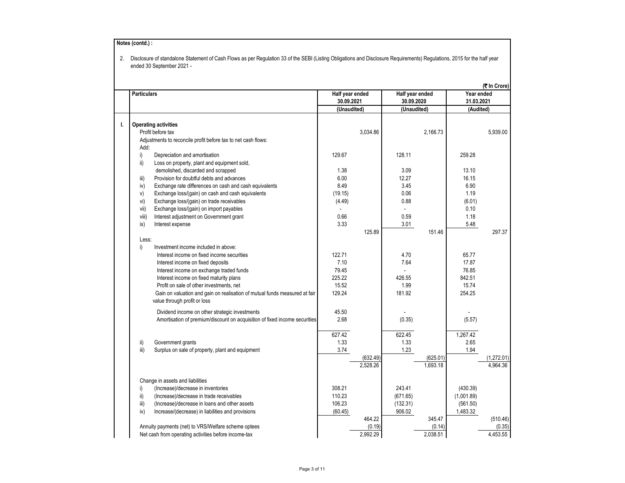2. Disclosure of standalone Statement of Cash Flows as per Regulation 33 of the SEBI (Listing Obligations and Disclosure Requirements) Regulations, 2015 for the half year ended 30 September 2021 -

|    |                                                                            |                               |          |                               |          |                          | (そ In Crore) |
|----|----------------------------------------------------------------------------|-------------------------------|----------|-------------------------------|----------|--------------------------|--------------|
|    | <b>Particulars</b>                                                         | Half year ended<br>30.09.2021 |          | Half year ended<br>30.09.2020 |          | Year ended<br>31.03.2021 |              |
|    |                                                                            | (Unaudited)                   |          | (Unaudited)                   |          | (Audited)                |              |
|    |                                                                            |                               |          |                               |          |                          |              |
| ı. | <b>Operating activities</b>                                                |                               |          |                               |          |                          |              |
|    | Profit before tax                                                          |                               | 3.034.86 |                               | 2.166.73 |                          | 5,939.00     |
|    | Adjustments to reconcile profit before tax to net cash flows:              |                               |          |                               |          |                          |              |
|    | Add:                                                                       |                               |          |                               |          |                          |              |
|    | i)<br>Depreciation and amortisation                                        | 129.67                        |          | 128.11                        |          | 259.28                   |              |
|    | ii)<br>Loss on property, plant and equipment sold,                         |                               |          |                               |          |                          |              |
|    | demolished, discarded and scrapped                                         | 1.38                          |          | 3.09                          |          | 13.10                    |              |
|    | Provision for doubtful debts and advances<br>iii)                          | 6.00                          |          | 12.27                         |          | 16.15                    |              |
|    | Exchange rate differences on cash and cash equivalents<br>iv)              | 8.49                          |          | 3.45                          |          | 6.90                     |              |
|    | Exchange loss/(gain) on cash and cash equivalents<br>v)                    | (19.15)                       |          | 0.06                          |          | 1.19                     |              |
|    | vi)<br>Exchange loss/(gain) on trade receivables                           | (4.49)                        |          | 0.88                          |          | (6.01)                   |              |
|    | vii)<br>Exchange loss/(gain) on import payables                            |                               |          | ä,                            |          | 0.10                     |              |
|    | Interest adjustment on Government grant<br>viii)                           | 0.66                          |          | 0.59                          |          | 1.18                     |              |
|    | ix)<br>Interest expense                                                    | 3.33                          |          | 3.01                          |          | 5.48                     |              |
|    |                                                                            |                               | 125.89   |                               | 151.46   |                          | 297.37       |
|    | Less:                                                                      |                               |          |                               |          |                          |              |
|    | i)<br>Investment income included in above:                                 |                               |          |                               |          |                          |              |
|    | Interest income on fixed income securities                                 | 122.71                        |          | 4.70                          |          | 65.77                    |              |
|    | Interest income on fixed deposits                                          | 7.10                          |          | 7.64                          |          | 17.87                    |              |
|    | Interest income on exchange traded funds                                   | 79.45                         |          |                               |          | 76.85                    |              |
|    | Interest income on fixed maturity plans                                    | 225.22                        |          | 426.55                        |          | 842.51                   |              |
|    | Profit on sale of other investments, net                                   | 15.52                         |          | 1.99                          |          | 15.74                    |              |
|    | Gain on valuation and gain on realisation of mutual funds measured at fair | 129.24                        |          | 181.92                        |          | 254.25                   |              |
|    | value through profit or loss                                               |                               |          |                               |          |                          |              |
|    | Dividend income on other strategic investments                             | 45.50                         |          |                               |          |                          |              |
|    | Amortisation of premium/discount on acquisition of fixed income securities | 2.68                          |          | (0.35)                        |          | (5.57)                   |              |
|    |                                                                            |                               |          |                               |          |                          |              |
|    |                                                                            | 627.42                        |          | 622.45                        |          | 1,267.42                 |              |
|    | ii)<br>Government grants                                                   | 1.33                          |          | 1.33                          |          | 2.65                     |              |
|    | iii)<br>Surplus on sale of property, plant and equipment                   | 3.74                          |          | 1.23                          |          | 1.94                     |              |
|    |                                                                            |                               | (632.49) |                               | (625.01) |                          | (1,272.01)   |
|    |                                                                            |                               | 2,528.26 |                               | 1,693.18 |                          | 4,964.36     |
|    |                                                                            |                               |          |                               |          |                          |              |
|    | Change in assets and liabilities                                           |                               |          |                               |          |                          |              |
|    | (Increase)/decrease in inventories<br>i)                                   | 308.21                        |          | 243.41                        |          | (430.39)                 |              |
|    | ii)<br>(Increase)/decrease in trade receivables                            | 110.23                        |          | (671.65)                      |          | (1,001.89)               |              |
|    | iii)<br>(Increase)/decrease in loans and other assets                      | 106.23                        |          | (132.31)                      |          | (561.50)                 |              |
|    | iv)<br>Increase/(decrease) in liabilities and provisions                   | (60.45)                       |          | 906.02                        |          | 1,483.32                 |              |
|    |                                                                            |                               | 464.22   |                               | 345.47   |                          | (510.46)     |
|    | Annuity payments (net) to VRS/Welfare scheme optees                        |                               | (0.19)   |                               | (0.14)   |                          | (0.35)       |
|    | Net cash from operating activities before income-tax                       |                               | 2,992.29 |                               | 2,038.51 |                          | 4,453.55     |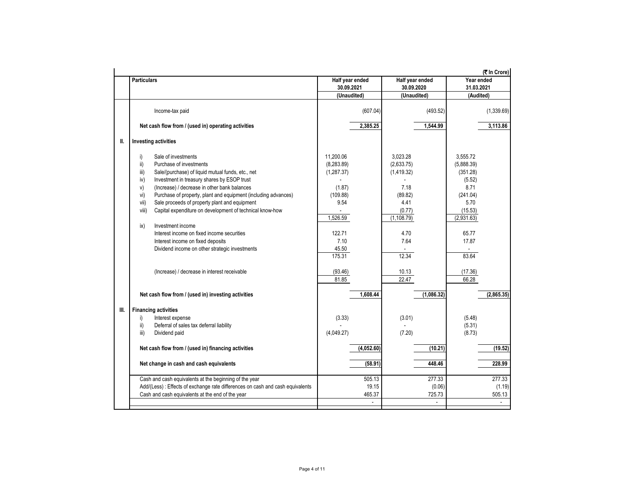|      |                                                                                |                 |                |                 |            |            | (そ In Crore) |
|------|--------------------------------------------------------------------------------|-----------------|----------------|-----------------|------------|------------|--------------|
|      | <b>Particulars</b>                                                             | Half year ended |                | Half year ended |            | Year ended |              |
|      |                                                                                | 30.09.2021      |                | 30.09.2020      |            | 31.03.2021 |              |
|      |                                                                                | (Unaudited)     |                | (Unaudited)     |            | (Audited)  |              |
|      | Income-tax paid                                                                |                 | (607.04)       |                 | (493.52)   |            | (1,339.69)   |
|      |                                                                                |                 |                |                 |            |            |              |
|      | Net cash flow from / (used in) operating activities                            |                 | 2,385.25       |                 | 1,544.99   |            | 3,113.86     |
| II.  | <b>Investing activities</b>                                                    |                 |                |                 |            |            |              |
|      | Sale of investments<br>i)                                                      | 11,200.06       |                | 3,023.28        |            | 3,555.72   |              |
|      | Purchase of investments<br>ii)                                                 | (8, 283.89)     |                | (2,633.75)      |            | (5,888.39) |              |
|      | iii)<br>Sale/(purchase) of liquid mutual funds, etc., net                      | (1, 287.37)     |                | (1,419.32)      |            | (351.28)   |              |
|      | Investment in treasury shares by ESOP trust<br>iv)                             |                 |                |                 |            | (5.52)     |              |
|      | (Increase) / decrease in other bank balances<br>V)                             | (1.87)          |                | 7.18            |            | 8.71       |              |
|      | Purchase of property, plant and equipment (including advances)<br>vi)          | (109.88)        |                | (89.82)         |            | (241.04)   |              |
|      | Sale proceeds of property plant and equipment<br>vii)                          | 9.54            |                | 4.41            |            | 5.70       |              |
|      | Capital expenditure on development of technical know-how<br>viii)              |                 |                | (0.77)          |            | (15.53)    |              |
|      |                                                                                | 1,526.59        |                | (1,108.79)      |            | (2,931.63) |              |
|      | Investment income<br>ix)                                                       |                 |                |                 |            |            |              |
|      | Interest income on fixed income securities                                     | 122.71          |                | 4.70            |            | 65.77      |              |
|      | Interest income on fixed deposits                                              | 7.10            |                | 7.64            |            | 17.87      |              |
|      | Dividend income on other strategic investments                                 | 45.50           |                |                 |            |            |              |
|      |                                                                                | 175.31          |                | 12.34           |            | 83.64      |              |
|      | (Increase) / decrease in interest receivable                                   | (93.46)         |                | 10.13           |            | (17.36)    |              |
|      |                                                                                | 81.85           |                | 22.47           |            | 66.28      |              |
|      | Net cash flow from / (used in) investing activities                            |                 | 1.608.44       |                 | (1,086.32) |            | (2,865.35)   |
|      |                                                                                |                 |                |                 |            |            |              |
| III. | <b>Financing activities</b>                                                    |                 |                |                 |            |            |              |
|      | i)<br>Interest expense                                                         | (3.33)          |                | (3.01)          |            | (5.48)     |              |
|      | ii)<br>Deferral of sales tax deferral liability                                |                 |                |                 |            | (5.31)     |              |
|      | iii)<br>Dividend paid                                                          | (4,049.27)      |                | (7.20)          |            | (8.73)     |              |
|      | Net cash flow from / (used in) financing activities                            |                 | (4,052.60)     |                 | (10.21)    |            | (19.52)      |
|      | Net change in cash and cash equivalents                                        |                 | (58.91)        |                 | 448.46     |            | 228.99       |
|      |                                                                                |                 |                |                 |            |            |              |
|      | Cash and cash equivalents at the beginning of the year                         |                 | 505.13         |                 | 277.33     |            | 277.33       |
|      | Add/(Less) : Effects of exchange rate differences on cash and cash equivalents |                 | 19.15          |                 | (0.06)     |            | (1.19)       |
|      | Cash and cash equivalents at the end of the year                               |                 | 465.37         |                 | 725.73     |            | 505.13       |
|      |                                                                                |                 | $\overline{a}$ |                 | ÷.         |            | ÷.           |
|      |                                                                                |                 |                |                 |            |            |              |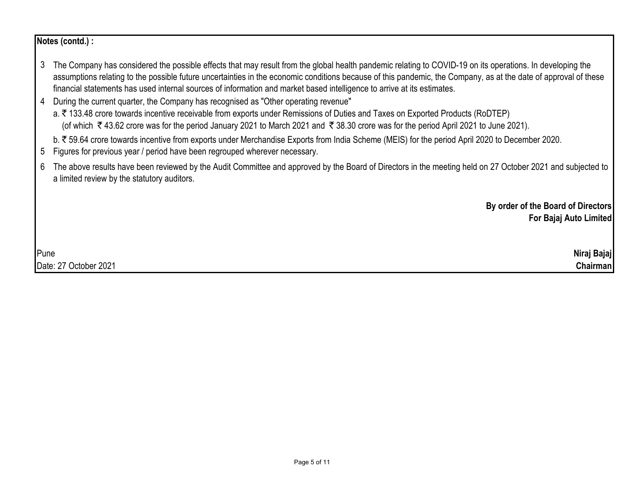- 3 The Company has considered the possible effects that may result from the global health pandemic relating to COVID-19 on its operations. In developing the assumptions relating to the possible future uncertainties in the economic conditions because of this pandemic, the Company, as at the date of approval of these financial statements has used internal sources of information and market based intelligence to arrive at its estimates.
- 4 During the current quarter, the Company has recognised as "Other operating revenue"

a. ₹133.48 crore towards incentive receivable from exports under Remissions of Duties and Taxes on Exported Products (RoDTEP) (of which  $\bar{\tau}$  43.62 crore was for the period January 2021 to March 2021 and  $\bar{\tau}$  38.30 crore was for the period April 2021 to June 2021).

- b. ₹59.64 crore towards incentive from exports under Merchandise Exports from India Scheme (MEIS) for the period April 2020 to December 2020.
- 5 Figures for previous year / period have been regrouped wherever necessary.
- 6 The above results have been reviewed by the Audit Committee and approved by the Board of Directors in the meeting held on 27 October 2021 and subjected to a limited review by the statutory auditors.

**By order of the Board of Directors For Bajaj Auto Limited**

Pune **Niraj Bajaj** Date: 27 October 2021 **Chairman**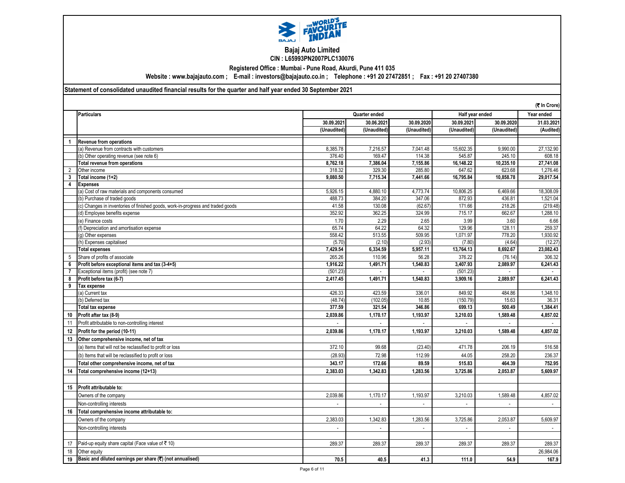

#### **Bajaj Auto Limited CIN : L65993PN2007PLC130076**

**Registered Office : Mumbai - Pune Road, Akurdi, Pune 411 035**

**Website : www.bajajauto.com ; E-mail : investors@bajajauto.co.in ; Telephone : +91 20 27472851 ; Fax : +91 20 27407380**

## **Statement of consolidated unaudited financial results for the quarter and half year ended 30 September 2021**

|                |                                                                                 |                             |               |              |              |                          | (₹ In Crore)  |
|----------------|---------------------------------------------------------------------------------|-----------------------------|---------------|--------------|--------------|--------------------------|---------------|
|                | <b>Particulars</b>                                                              |                             | Quarter ended |              |              | Half year ended          | Year ended    |
|                |                                                                                 | 30.09.2021                  | 30.06.2021    | 30.09.2020   | 30.09.2021   | 30.09.2020               | 31.03.2021    |
|                |                                                                                 | (Unaudited)                 | (Unaudited)   | (Unaudited)  | (Unaudited)  | (Unaudited)              | (Audited)     |
| $\mathbf{1}$   | Revenue from operations                                                         |                             |               |              |              |                          |               |
|                | (a) Revenue from contracts with customers                                       | 8,385.78                    | 7,216.57      | 7.041.48     | 15,602.35    | 9,990.00                 | 27,132.90     |
|                | (b) Other operating revenue (see note 6)                                        | 376.40                      | 169.47        | 114.38       | 545.87       | 245.10                   | 608.18        |
|                | Total revenue from operations                                                   | 8,762.18                    | 7,386.04      | 7,155.86     | 16,148.22    | 10,235.10                | 27,741.08     |
| 2              | Other income                                                                    | 318.32                      | 329.30        | 285.80       | 647.62       | 623.68                   | 1,276.46      |
| 3              | Total income (1+2)                                                              | 9,080.50                    | 7,715.34      | 7,441.66     | 16,795.84    | 10,858.78                | 29,017.54     |
| 4              | <b>Expenses</b>                                                                 |                             |               |              |              |                          |               |
|                | (a) Cost of raw materials and components consumed                               | 5,926.15                    | 4,880.10      | 4,773.74     | 10,806.25    | 6,469.66                 | 18,308.09     |
|                | (b) Purchase of traded goods                                                    | 488.73                      | 384.20        | 347.06       | 872.93       | 436.81                   | 1,521.04      |
|                | (c) Changes in inventories of finished goods, work-in-progress and traded goods | 41.58                       | 130.08        | (62.67)      | 171.66       | 218.26                   | (219.48)      |
|                | (d) Employee benefits expense                                                   | 352.92                      | 362.25        | 324.99       | 715.17       | 662.67                   | 1,288.10      |
|                | (e) Finance costs                                                               | 1.70                        | 2.29          | 2.65         | 3.99         | 3.60                     | 6.66          |
|                | (f) Depreciation and amortisation expense                                       | 65.74                       | 64.22         | 64.32        | 129.96       | 128.11                   | 259.37        |
|                | (g) Other expenses                                                              | 558.42                      | 513.55        | 509.95       | 1,071.97     | 778.20                   | 1,930.92      |
|                | (h) Expenses capitalised                                                        | (5.70)                      | (2.10)        | (2.93)       | (7.80)       | (4.64)                   | (12.27)       |
|                | <b>Total expenses</b>                                                           | 7,429.54                    | 6,334.59      | 5,957.11     | 13,764.13    | 8,692.67                 | 23,082.43     |
| 5              | Share of profits of associate                                                   | 265.26                      | 110.96        | 56.28        | 376.22       | (76.14)                  | 306.32        |
| 6              | Profit before exceptional items and tax (3-4+5)                                 | 1,916.22                    | 1,491.71      | 1,540.83     | 3.407.93     | 2,089.97                 | 6,241.43      |
| $\overline{7}$ | Exceptional items (profit) (see note 7)                                         | (501.23)                    |               |              | (501.23)     |                          |               |
| 8              | Profit before tax (6-7)                                                         | 2.417.45                    | 1,491.71      | 1.540.83     | 3.909.16     | 2,089.97                 | 6.241.43      |
| 9              | <b>Tax expense</b>                                                              |                             |               |              |              |                          |               |
|                | (a) Current tax                                                                 | 426.33                      | 423.59        | 336.01       | 849.92       | 484.86                   | 1,348.10      |
|                | (b) Deferred tax                                                                | (48.74)                     | (102.05)      | 10.85        | (150.79)     | 15.63                    | 36.31         |
|                | <b>Total tax expense</b>                                                        | 377.59                      | 321.54        | 346.86       | 699.13       | 500.49                   | 1,384.41      |
| 10             | Profit after tax (8-9)                                                          | 2,039.86                    | 1,170.17      | 1,193.97     | 3,210.03     | 1,589.48                 | 4,857.02      |
| 11             | Profit attributable to non-controlling interest                                 |                             |               |              |              |                          |               |
| 12             | Profit for the period (10-11)                                                   | 2,039.86                    | 1,170.17      | 1,193.97     | 3,210.03     | 1,589.48                 | 4,857.02      |
| 13             | Other comprehensive income, net of tax                                          |                             |               |              |              |                          |               |
|                | (a) Items that will not be reclassified to profit or loss                       | 372.10                      | 99.68         | (23.40)      | 471.78       | 206.19                   | 516.58        |
|                | (b) Items that will be reclassified to profit or loss                           | (28.93)                     | 72.98         | 112.99       | 44.05        | 258.20                   | 236.37        |
|                | Total other comprehensive income, net of tax                                    | 343.17                      | 172.66        | 89.59        | 515.83       | 464.39                   | 752.95        |
| 14             | Total comprehensive income (12+13)                                              | 2,383.03                    | 1.342.83      | 1.283.56     | 3,725.86     | 2,053.87                 | 5,609.97      |
|                |                                                                                 |                             |               |              |              |                          |               |
| 15             | Profit attributable to:                                                         |                             |               |              |              |                          |               |
|                |                                                                                 |                             |               |              |              |                          |               |
|                | Owners of the company                                                           | 2,039.86                    | 1,170.17      | 1,193.97     | 3,210.03     | 1,589.48                 | 4,857.02      |
|                | Non-controlling interests                                                       |                             |               |              |              |                          |               |
| 16             | Total comprehensive income attributable to:                                     |                             |               |              |              |                          |               |
|                | Owners of the company                                                           | 2,383.03                    | 1,342.83      | 1,283.56     | 3,725.86     | 2,053.87                 | 5,609.97      |
|                | Non-controlling interests                                                       | $\mathcal{L}_{\mathcal{A}}$ | $\sim$        | $\mathbf{r}$ | $\mathbf{r}$ | $\overline{\phantom{a}}$ | $\mathcal{L}$ |
|                |                                                                                 |                             |               |              |              |                          |               |
| 17             | Paid-up equity share capital (Face value of ₹10)                                | 289.37                      | 289.37        | 289.37       | 289.37       | 289.37                   | 289.37        |
| 18             | Other equity                                                                    |                             |               |              |              |                          | 26,984.06     |
| 19             | Basic and diluted earnings per share $(\overline{\mathbf{x}})$ (not annualised) | 70.5                        | 40.5          | 41.3         | 111.0        | 54.9                     | 167.9         |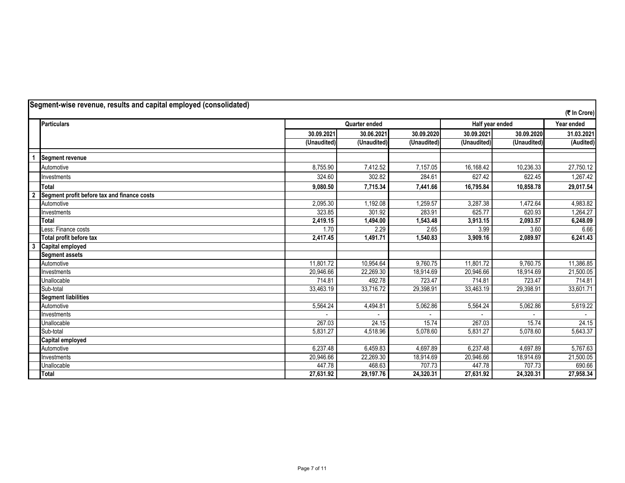| Segment-wise revenue, results and capital employed (consolidated) |                                             |             |               |             |             |                 |              |  |
|-------------------------------------------------------------------|---------------------------------------------|-------------|---------------|-------------|-------------|-----------------|--------------|--|
|                                                                   |                                             |             |               |             |             |                 | (そ In Crore) |  |
|                                                                   | <b>Particulars</b>                          |             | Quarter ended |             |             | Half year ended | Year ended   |  |
|                                                                   |                                             | 30.09.2021  | 30.06.2021    | 30.09.2020  | 30.09.2021  | 30.09.2020      | 31.03.2021   |  |
|                                                                   |                                             | (Unaudited) | (Unaudited)   | (Unaudited) | (Unaudited) | (Unaudited)     | (Audited)    |  |
|                                                                   | Segment revenue                             |             |               |             |             |                 |              |  |
|                                                                   | Automotive                                  | 8,755.90    | 7,412.52      | 7,157.05    | 16,168.42   | 10,236.33       | 27,750.12    |  |
|                                                                   | Investments                                 | 324.60      | 302.82        | 284.61      | 627.42      | 622.45          | 1,267.42     |  |
|                                                                   | <b>Total</b>                                | 9,080.50    | 7,715.34      | 7,441.66    | 16,795.84   | 10,858.78       | 29,017.54    |  |
|                                                                   | Segment profit before tax and finance costs |             |               |             |             |                 |              |  |
|                                                                   | Automotive                                  | 2,095.30    | 1,192.08      | 1,259.57    | 3,287.38    | 1,472.64        | 4,983.82     |  |
|                                                                   | Investments                                 | 323.85      | 301.92        | 283.91      | 625.77      | 620.93          | 1,264.27     |  |
|                                                                   | <b>Total</b>                                | 2,419.15    | 1,494.00      | 1,543.48    | 3,913.15    | 2,093.57        | 6,248.09     |  |
|                                                                   | Less: Finance costs                         | 1.70        | 2.29          | 2.65        | 3.99        | 3.60            | 6.66         |  |
|                                                                   | Total profit before tax                     | 2,417.45    | 1,491.71      | 1,540.83    | 3,909.16    | 2,089.97        | 6,241.43     |  |
| 3                                                                 | Capital employed                            |             |               |             |             |                 |              |  |
|                                                                   | <b>Segment assets</b>                       |             |               |             |             |                 |              |  |
|                                                                   | Automotive                                  | 11,801.72   | 10,954.64     | 9,760.75    | 11,801.72   | 9,760.75        | 11,386.85    |  |
|                                                                   | <b>Investments</b>                          | 20,946.66   | 22,269.30     | 18,914.69   | 20,946.66   | 18,914.69       | 21,500.05    |  |
|                                                                   | Unallocable                                 | 714.81      | 492.78        | 723.47      | 714.81      | 723.47          | 714.81       |  |
|                                                                   | Sub-total                                   | 33,463.19   | 33,716.72     | 29,398.91   | 33,463.19   | 29,398.91       | 33,601.71    |  |
|                                                                   | <b>Segment liabilities</b>                  |             |               |             |             |                 |              |  |
|                                                                   | Automotive                                  | 5,564.24    | 4,494.81      | 5,062.86    | 5,564.24    | 5,062.86        | 5,619.22     |  |
|                                                                   | Investments                                 |             |               |             |             |                 |              |  |
|                                                                   | Unallocable                                 | 267.03      | 24.15         | 15.74       | 267.03      | 15.74           | 24.15        |  |
|                                                                   | Sub-total                                   | 5,831.27    | 4,518.96      | 5,078.60    | 5,831.27    | 5,078.60        | 5,643.37     |  |
|                                                                   | Capital employed                            |             |               |             |             |                 |              |  |
|                                                                   | Automotive                                  | 6,237.48    | 6,459.83      | 4,697.89    | 6,237.48    | 4,697.89        | 5,767.63     |  |
|                                                                   | Investments                                 | 20,946.66   | 22,269.30     | 18,914.69   | 20,946.66   | 18,914.69       | 21,500.05    |  |
|                                                                   | Unallocable                                 | 447.78      | 468.63        | 707.73      | 447.78      | 707.73          | 690.66       |  |
|                                                                   | Total                                       | 27,631.92   | 29,197.76     | 24,320.31   | 27,631.92   | 24,320.31       | 27,958.34    |  |

7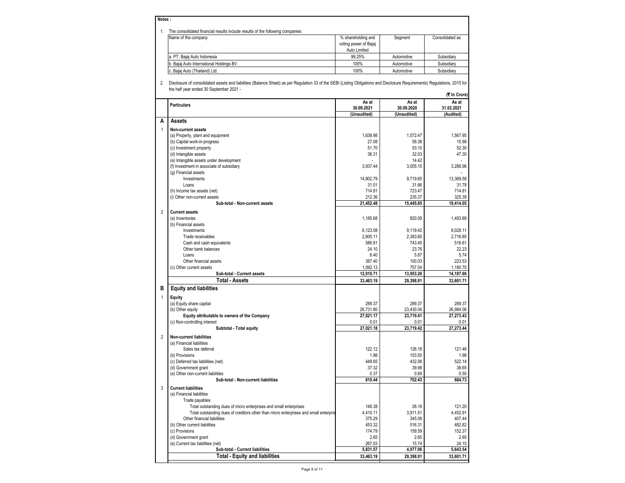#### **Notes :**

1. The consolidated financial results include results of the following companies:

| The consolidated financial results include results of the following companies: |                       |            |                 |
|--------------------------------------------------------------------------------|-----------------------|------------|-----------------|
| Name of the company                                                            | % shareholding and    | Segment    | Consolidated as |
|                                                                                | voting power of Bajaj |            |                 |
|                                                                                | Auto Limited          |            |                 |
| la. PT. Baiai Auto Indonesia                                                   | 99.25%                | Automotive | Subsidiary      |
| b. Bajaj Auto International Holdings BV                                        | 100%                  | Automotive | Subsidiary      |
| c. Bajaj Auto (Thailand) Ltd.                                                  | 100%                  | Automotive | Subsidiary      |

2. Disclosure of consolidated assets and liabilities (Balance Sheet) as per Regulation 33 of the SEBI (Listing Obligations and Disclosure Requirements) Regulations, 2015 for **(**` **In Crore)** the half year ended 30 September 2021 -

|                |                                                                                      |                           |                           | (Kin Crore              |
|----------------|--------------------------------------------------------------------------------------|---------------------------|---------------------------|-------------------------|
|                | <b>Particulars</b>                                                                   | As at                     | As at                     | As at                   |
|                |                                                                                      | 30.09.2021<br>(Unaudited) | 30.09.2020<br>(Unaudited) | 31.03.2021<br>(Audited) |
| A              | <b>Assets</b>                                                                        |                           |                           |                         |
|                |                                                                                      |                           |                           |                         |
| 1              | Non-current assets                                                                   | 1.638.98                  | 1,572.47                  | 1.567.95                |
|                | (a) Property, plant and equipment<br>(b) Capital work-in-progress                    | 27.08                     | 58.38                     | 15.98                   |
|                | (c) Investment property                                                              | 51.70                     | 53.10                     | 52.30                   |
|                | (d) Intangible assets                                                                | 36.31                     | 32.03                     | 47.30                   |
|                | (e) Intangible assets under development                                              |                           | 14.42                     |                         |
|                | (f) Investment in associate of subsidiary                                            | 3,937.44                  | 3,005.15                  | 3,288.96                |
|                | (g) Financial assets                                                                 |                           |                           |                         |
|                | Investments                                                                          | 14,802.79                 | 9,719.60                  | 13,369.58               |
|                | Loans                                                                                | 31.01                     | 31.66                     | 31.78                   |
|                | (h) Income tax assets (net)                                                          | 714.81                    | 723.47                    | 714.81                  |
|                | (i) Other non-current assets                                                         | 212.36                    | 235.37                    | 325.39                  |
|                | Sub-total - Non-current assets                                                       | 21,452.48                 | 15,445.65                 | 19,414.05               |
|                |                                                                                      |                           |                           |                         |
| $\overline{2}$ | <b>Current assets</b>                                                                |                           |                           |                         |
|                | (a) Inventories                                                                      | 1,185.68                  | 820.09                    | 1.493.89                |
|                | (b) Financial assets                                                                 |                           |                           |                         |
|                | Investments                                                                          | 6.123.08                  | 9.119.42                  | 8.028.11                |
|                | Trade receivables                                                                    | 2.605.11                  | 2.383.60                  | 2.716.85                |
|                | Cash and cash equivalents                                                            | 586.81                    | 743.45                    | 516.61                  |
|                | Other bank balances                                                                  | 24.10                     | 23.76                     | 22.23                   |
|                | Loans                                                                                | 6.40                      | 5.87                      | 5.74                    |
|                | Other financial assets                                                               | 387.40                    | 100.03                    | 223.53                  |
|                | (c) Other current assets                                                             | 1.092.13                  | 757.04                    | 1.180.70                |
|                | Sub-total - Current assets                                                           | 12,010.71                 | 13,953.26                 | 14,187.66               |
|                | <b>Total - Assets</b>                                                                | 33,463.19                 | 29,398.91                 | 33,601.71               |
| в              | <b>Equity and liabilities</b>                                                        |                           |                           |                         |
| $\mathbf{1}$   | Equity                                                                               |                           |                           |                         |
|                | (a) Equity share capital                                                             | 289.37                    | 289.37                    | 289.37                  |
|                | (b) Other equity                                                                     | 26,731.80                 | 23,430.04                 | 26,984.06               |
|                | Equity attributable to owners of the Company                                         | 27,021.17                 | 23,719.41                 | 27,273.43               |
|                | (c) Non-controlling interest                                                         | 0.01                      | 0.01                      | 0.01                    |
|                | Subtotal - Total equity                                                              | 27,021.18                 | 23.719.42                 | 27.273.44               |
| $\overline{2}$ | <b>Non-current liabilities</b>                                                       |                           |                           |                         |
|                | (a) Financial liabilities                                                            |                           |                           |                         |
|                | Sales tax deferral                                                                   | 122.12                    | 126.18                    | 121.46                  |
|                | (b) Provisions                                                                       | 1.98                      | 103.50                    | 1.98                    |
|                | (c) Deferred tax liabilities (net)                                                   | 448.65                    | 432.08                    | 522.14                  |
|                | (d) Government grant                                                                 | 37.32                     | 39.98                     | 38.65                   |
|                | (e) Other non-current liabilities                                                    | 0.37                      | 0.69                      | 0.50                    |
|                | Sub-total - Non-current liabilities                                                  | 610.44                    | 702.43                    | 684.73                  |
| 3              | <b>Current liabilities</b>                                                           |                           |                           |                         |
|                | (a) Financial liabilities                                                            |                           |                           |                         |
|                | Trade payables                                                                       |                           |                           |                         |
|                | Total outstanding dues of micro enterprises and small enterprises                    | 148.38                    | 26.18                     | 121.20                  |
|                | Total outstanding dues of creditors other than micro enterprises and small enterpris | 4,410.11                  | 3,911.51                  | 4.452.91                |
|                | Other financial liabilities                                                          | 375.29                    | 345.08                    | 407.44                  |
|                | (b) Other current liabilities                                                        | 453.32                    | 516.31                    | 482.82                  |
|                | (c) Provisions                                                                       | 174.79                    | 159.59                    | 152.37                  |
|                | (d) Government grant                                                                 | 2.65                      | 2.65                      | 2.65                    |
|                | (e) Current tax liabilities (net)                                                    | 267.03                    | 15.74                     | 24.15                   |
|                | Sub-total - Current liabilities                                                      | 5,831.57                  | 4,977.06                  | 5,643.54                |
|                | <b>Total - Equity and liabilities</b>                                                | 33,463.19                 | 29,398.91                 | 33,601.71               |
|                |                                                                                      |                           |                           |                         |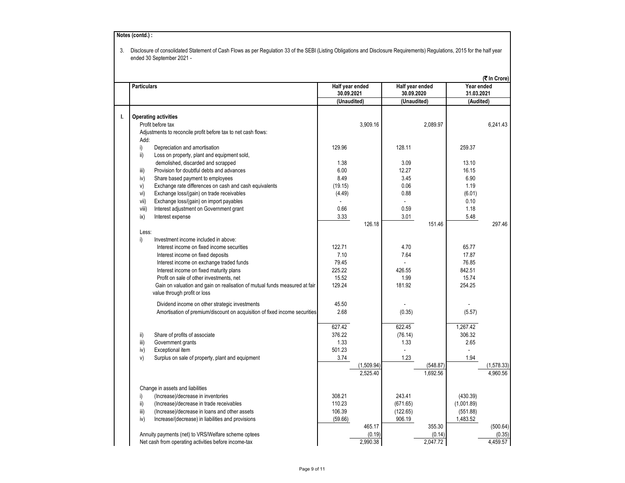3. Disclosure of consolidated Statement of Cash Flows as per Regulation 33 of the SEBI (Listing Obligations and Disclosure Requirements) Regulations, 2015 for the half year ended 30 September 2021 -

| <b>Particulars</b>                       |                                                                            | Half year ended<br>30.09.2021 |            | Half year ended<br>30.09.2020 |          | Year ended<br>31.03.2021 |            |
|------------------------------------------|----------------------------------------------------------------------------|-------------------------------|------------|-------------------------------|----------|--------------------------|------------|
|                                          |                                                                            | (Unaudited)                   |            | (Unaudited)                   |          | (Audited)                |            |
| <b>Operating activities</b><br>ı.        |                                                                            |                               |            |                               |          |                          |            |
| Profit before tax                        |                                                                            |                               | 3,909.16   |                               | 2.089.97 |                          | 6,241.43   |
|                                          | Adjustments to reconcile profit before tax to net cash flows:              |                               |            |                               |          |                          |            |
| Add:                                     |                                                                            |                               |            |                               |          |                          |            |
| i)<br>Depreciation and amortisation      |                                                                            | 129.96                        |            | 128.11                        |          | 259.37                   |            |
| ii)                                      | Loss on property, plant and equipment sold,                                |                               |            |                               |          |                          |            |
|                                          | demolished, discarded and scrapped                                         | 1.38                          |            | 3.09                          |          | 13.10                    |            |
| iii)                                     | Provision for doubtful debts and advances                                  | 6.00                          |            | 12.27                         |          | 16.15                    |            |
| iv)                                      | Share based payment to employees                                           | 8.49                          |            | 3.45                          |          | 6.90                     |            |
| V)                                       | Exchange rate differences on cash and cash equivalents                     | (19.15)                       |            | 0.06                          |          | 1.19                     |            |
| vi)                                      | Exchange loss/(gain) on trade receivables                                  | (4.49)                        |            | 0.88                          |          | (6.01)                   |            |
| vii)                                     | Exchange loss/(gain) on import payables                                    |                               |            |                               |          | 0.10                     |            |
| viii)                                    | Interest adjustment on Government grant                                    | 0.66                          |            | 0.59                          |          | 1.18                     |            |
| Interest expense<br>ix)                  |                                                                            | 3.33                          |            | 3.01                          |          | 5.48                     |            |
|                                          |                                                                            |                               | 126.18     |                               | 151.46   |                          | 297.46     |
| Less:                                    |                                                                            |                               |            |                               |          |                          |            |
| i)                                       | Investment income included in above:                                       |                               |            |                               |          |                          |            |
|                                          | Interest income on fixed income securities                                 | 122.71                        |            | 4.70                          |          | 65.77                    |            |
|                                          | Interest income on fixed deposits                                          | 7.10                          |            | 7.64                          |          | 17.87                    |            |
|                                          | Interest income on exchange traded funds                                   | 79.45                         |            |                               |          | 76.85                    |            |
|                                          | Interest income on fixed maturity plans                                    | 225.22                        |            | 426.55                        |          | 842.51                   |            |
|                                          | Profit on sale of other investments, net                                   | 15.52                         |            | 1.99                          |          | 15.74                    |            |
|                                          | Gain on valuation and gain on realisation of mutual funds measured at fair | 129.24                        |            | 181.92                        |          | 254.25                   |            |
| value through profit or loss             |                                                                            |                               |            |                               |          |                          |            |
|                                          | Dividend income on other strategic investments                             | 45.50                         |            |                               |          |                          |            |
|                                          | Amortisation of premium/discount on acquisition of fixed income securities | 2.68                          |            | (0.35)                        |          | (5.57)                   |            |
|                                          |                                                                            |                               |            |                               |          |                          |            |
|                                          |                                                                            | 627.42                        |            | 622.45                        |          | 1,267.42                 |            |
| Share of profits of associate<br>ii)     |                                                                            | 376.22                        |            | (76.14)                       |          | 306.32                   |            |
| iii)<br>Government grants                |                                                                            | 1.33                          |            | 1.33                          |          | 2.65                     |            |
| iv)<br>Exceptional item                  |                                                                            | 501.23                        |            |                               |          |                          |            |
| V)                                       | Surplus on sale of property, plant and equipment                           | 3.74                          |            | 1.23                          |          | 1.94                     |            |
|                                          |                                                                            |                               | (1,509.94) |                               | (548.87) |                          | (1,578.33) |
|                                          |                                                                            |                               | 2,525.40   |                               | 1,692.56 |                          | 4,960.56   |
|                                          |                                                                            |                               |            |                               |          |                          |            |
| Change in assets and liabilities         |                                                                            |                               |            |                               |          |                          |            |
| i)<br>(Increase)/decrease in inventories |                                                                            | 308.21                        |            | 243.41                        |          | (430.39)                 |            |
| ii)                                      | (Increase)/decrease in trade receivables                                   | 110.23                        |            | (671.65)                      |          | (1,001.89)               |            |
| iii)                                     | (Increase)/decrease in loans and other assets                              | 106.39                        |            | (122.65)                      |          | (551.88)                 |            |
| iv)                                      | Increase/(decrease) in liabilities and provisions                          | (59.66)                       |            | 906.19                        |          | 1,483.52                 |            |
|                                          |                                                                            |                               | 465.17     |                               | 355.30   |                          | (500.64)   |
|                                          | Annuity payments (net) to VRS/Welfare scheme optees                        |                               | (0.19)     |                               | (0.14)   |                          | (0.35)     |
|                                          | Net cash from operating activities before income-tax                       |                               | 2,990.38   |                               | 2,047.72 |                          | 4,459.57   |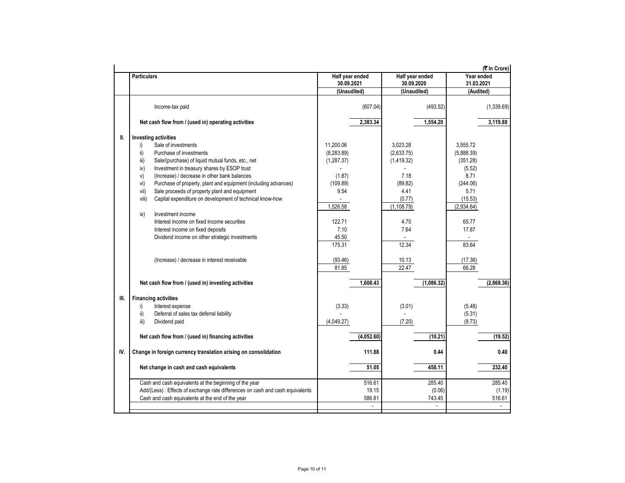|      |                                                                                |                 |            |                 |            |            | (そ In Crore) |
|------|--------------------------------------------------------------------------------|-----------------|------------|-----------------|------------|------------|--------------|
|      | <b>Particulars</b>                                                             | Half year ended |            | Half year ended |            | Year ended |              |
|      |                                                                                | 30.09.2021      |            | 30.09.2020      |            | 31.03.2021 |              |
|      |                                                                                | (Unaudited)     |            | (Unaudited)     |            | (Audited)  |              |
|      | Income-tax paid                                                                |                 | (607.04)   |                 | (493.52)   |            | (1,339.69)   |
|      |                                                                                |                 |            |                 |            |            |              |
|      | Net cash flow from / (used in) operating activities                            |                 | 2,383.34   |                 | 1,554.20   |            | 3,119.88     |
| Ш.   | Investing activities                                                           |                 |            |                 |            |            |              |
|      | Sale of investments<br>i)                                                      | 11,200.06       |            | 3,023.28        |            | 3,555.72   |              |
|      | ii)<br>Purchase of investments                                                 | (8, 283.89)     |            | (2,633.75)      |            | (5,888.39) |              |
|      | iii)<br>Sale/(purchase) of liquid mutual funds, etc., net                      | (1, 287.37)     |            | (1,419.32)      |            | (351.28)   |              |
|      | iv)<br>Investment in treasury shares by ESOP trust                             |                 |            |                 |            | (5.52)     |              |
|      | (Increase) / decrease in other bank balances<br>V)                             | (1.87)          |            | 7.18            |            | 8.71       |              |
|      | Purchase of property, plant and equipment (including advances)<br>vi)          | (109.89)        |            | (89.82)         |            | (244.06)   |              |
|      | Sale proceeds of property plant and equipment<br>vii)                          | 9.54            |            | 4.41            |            | 5.71       |              |
|      | Capital expenditure on development of technical know-how<br>viii)              |                 |            | (0.77)          |            | (15.53)    |              |
|      |                                                                                | 1,526.58        |            | (1, 108.79)     |            | (2,934.64) |              |
|      | Investment income<br>ix)                                                       |                 |            |                 |            |            |              |
|      | Interest income on fixed income securities                                     | 122.71          |            | 4.70            |            | 65.77      |              |
|      |                                                                                |                 |            | 7.64            |            |            |              |
|      | Interest income on fixed deposits                                              | 7.10            |            |                 |            | 17.87      |              |
|      | Dividend income on other strategic investments                                 | 45.50           |            |                 |            |            |              |
|      |                                                                                | 175.31          |            | 12.34           |            | 83.64      |              |
|      | (Increase) / decrease in interest receivable                                   | (93.46)         |            | 10.13           |            | (17.36)    |              |
|      |                                                                                | 81.85           |            | 22.47           |            | 66.28      |              |
|      | Net cash flow from / (used in) investing activities                            |                 | 1.608.43   |                 | (1,086.32) |            | (2,868.36)   |
| III. | <b>Financing activities</b>                                                    |                 |            |                 |            |            |              |
|      | Interest expense<br>i)                                                         | (3.33)          |            | (3.01)          |            | (5.48)     |              |
|      | $\mathsf{ii}$<br>Deferral of sales tax deferral liability                      |                 |            |                 |            | (5.31)     |              |
|      | iii)<br>Dividend paid                                                          | (4,049.27)      |            | (7.20)          |            | (8.73)     |              |
|      |                                                                                |                 |            |                 |            |            |              |
|      | Net cash flow from / (used in) financing activities                            |                 | (4,052.60) |                 | (10.21)    |            | (19.52)      |
| IV.  | Change in foreign currency translation arising on consolidation                |                 | 111.88     |                 | 0.44       |            | 0.40         |
|      |                                                                                |                 |            |                 |            |            |              |
|      | Net change in cash and cash equivalents                                        |                 | 51.05      |                 | 458.11     |            | 232.40       |
|      |                                                                                |                 |            |                 |            |            |              |
|      | Cash and cash equivalents at the beginning of the year                         |                 | 516.61     |                 | 285.40     |            | 285.40       |
|      | Add/(Less) : Effects of exchange rate differences on cash and cash equivalents |                 | 19.15      |                 | (0.06)     |            | (1.19)       |
|      | Cash and cash equivalents at the end of the year                               |                 | 586.81     |                 | 743.45     |            | 516.61       |
|      |                                                                                |                 |            |                 |            |            | ÷,           |
|      |                                                                                |                 |            |                 |            |            |              |